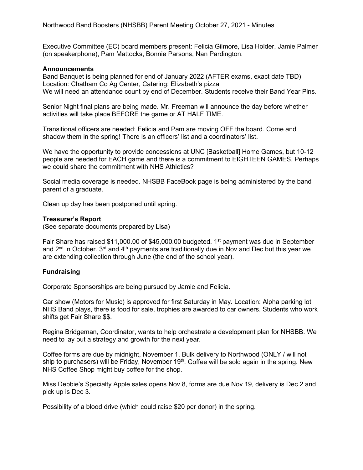Executive Committee (EC) board members present: Felicia Gilmore, Lisa Holder, Jamie Palmer (on speakerphone), Pam Mattocks, Bonnie Parsons, Nan Pardington.

#### **Announcements**

Band Banquet is being planned for end of January 2022 (AFTER exams, exact date TBD) Location: Chatham Co Ag Center, Catering: Elizabeth's pizza We will need an attendance count by end of December. Students receive their Band Year Pins.

Senior Night final plans are being made. Mr. Freeman will announce the day before whether activities will take place BEFORE the game or AT HALF TIME.

Transitional officers are needed: Felicia and Pam are moving OFF the board. Come and shadow them in the spring! There is an officers' list and a coordinators' list.

We have the opportunity to provide concessions at UNC [Basketball] Home Games, but 10-12 people are needed for EACH game and there is a commitment to EIGHTEEN GAMES. Perhaps we could share the commitment with NHS Athletics?

Social media coverage is needed. NHSBB FaceBook page is being administered by the band parent of a graduate.

Clean up day has been postponed until spring.

#### **Treasurer's Report**

(See separate documents prepared by Lisa)

Fair Share has raised \$11,000.00 of \$45,000.00 budgeted. 1<sup>st</sup> payment was due in September and  $2<sup>nd</sup>$  in October. 3<sup>rd</sup> and  $4<sup>th</sup>$  payments are traditionally due in Nov and Dec but this year we are extending collection through June (the end of the school year).

### **Fundraising**

Corporate Sponsorships are being pursued by Jamie and Felicia.

Car show (Motors for Music) is approved for first Saturday in May. Location: Alpha parking lot NHS Band plays, there is food for sale, trophies are awarded to car owners. Students who work shifts get Fair Share \$\$.

Regina Bridgeman, Coordinator, wants to help orchestrate a development plan for NHSBB. We need to lay out a strategy and growth for the next year.

Coffee forms are due by midnight, November 1. Bulk delivery to Northwood (ONLY / will not ship to purchasers) will be Friday, November 19<sup>th</sup>. Coffee will be sold again in the spring. New NHS Coffee Shop might buy coffee for the shop.

Miss Debbie's Specialty Apple sales opens Nov 8, forms are due Nov 19, delivery is Dec 2 and pick up is Dec 3.

Possibility of a blood drive (which could raise \$20 per donor) in the spring.